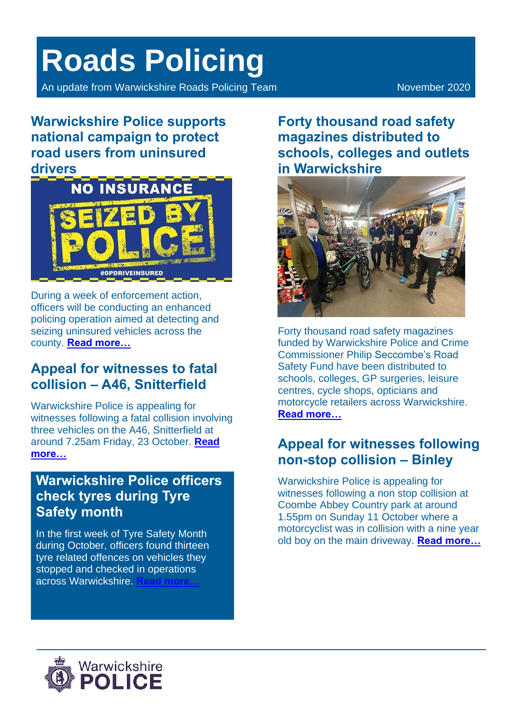# **Roads Policing**

An update from Warwickshire Roads Policing Team November 2020

**Warwickshire Police supports national campaign to protect road users from uninsured drivers**



During a week of enforcement action, officers will be conducting an enhanced policing operation aimed at detecting and seizing uninsured vehicles across the county. **[Read more…](https://www.warwickshire.police.uk/news/warwickshire/news/2020/october/warwickshire-police-is-supporting-a-national-campaign-to-protect-road-users-from-uninsured-drivers/)**

# **Appeal for witnesses to fatal collision – A46, Snitterfield**

Warwickshire Police is appealing for witnesses following a fatal collision involving three vehicles on the A46, Snitterfield at around 7.25am Friday, 23 October. **[Read](https://www.warwickshire.police.uk/news/warwickshire/news/2020/october/appeal-for-witnesses-to-fatal-collision--a46-snitterfield/)  [more…](https://www.warwickshire.police.uk/news/warwickshire/news/2020/october/appeal-for-witnesses-to-fatal-collision--a46-snitterfield/)**

#### **Warwickshire Police officers check tyres during Tyre Safety month**

In the first week of Tyre Safety Month during October, officers found thirteen tyre related offences on vehicles they stopped and checked in operations across Warwickshire. **[Read more…](https://www.warwickshire.police.uk/news/warwickshire/news/2020/october/warwickshire-police-officers-check-tyres-during-tyre-safety-month/)**

**Forty thousand road safety magazines distributed to schools, colleges and outlets in Warwickshire**



Forty thousand road safety magazines funded by Warwickshire Police and Crime Commissioner Philip Seccombe's Road Safety Fund have been distributed to schools, colleges, GP surgeries, leisure centres, cycle shops, opticians and motorcycle retailers across Warwickshire. **[Read more…](https://www.warwickshire.police.uk/news/warwickshire/news/2020/october/forty-thousand-road-safety-magazines-distributed-to-schools-colleges-and-outlets-in-warwickshire/)**

# **Appeal for witnesses following non-stop collision – Binley**

Warwickshire Police is appealing for witnesses following a non stop collision at Coombe Abbey Country park at around 1.55pm on Sunday 11 October where a motorcyclist was in collision with a nine year old boy on the main driveway. **[Read more…](https://www.warwickshire.police.uk/news/warwickshire/news/2020/october/appeal-for-witnesses-following-non-stop-collision--binley/)**

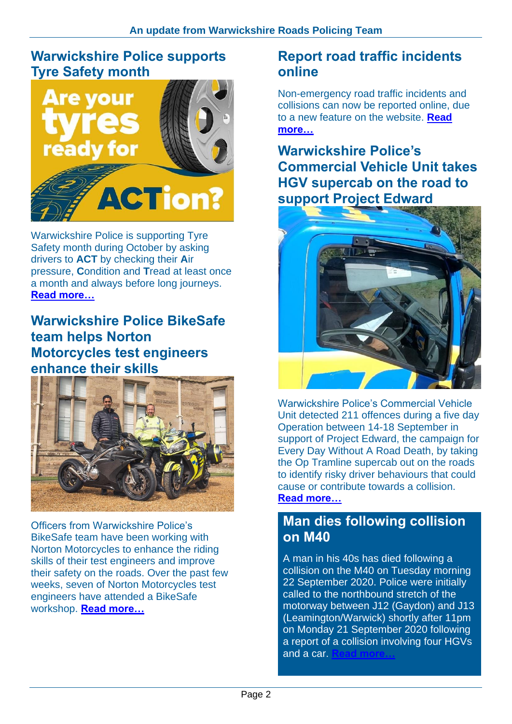#### **Warwickshire Police supports Tyre Safety month**



Warwickshire Police is supporting Tyre Safety month during October by asking drivers to **ACT** by checking their **A**ir pressure, **C**ondition and **T**read at least once a month and always before long journeys. **[Read more…](https://www.warwickshire.police.uk/news/warwickshire/news/2020/october/warwickshire-police-supports-tyre-safety-month/)**

**Warwickshire Police BikeSafe team helps Norton Motorcycles test engineers enhance their skills**



Officers from Warwickshire Police's BikeSafe team have been working with Norton Motorcycles to enhance the riding skills of their test engineers and improve their safety on the roads. Over the past few weeks, seven of Norton Motorcycles test engineers have attended a BikeSafe workshop. **[Read more…](https://www.warwickshire.police.uk/news/warwickshire/news/2020/september/warwickshire-police-bikesafe-team-helps-norton-motorcycles-test-engineers-enhance-their-skills/)**

#### **Report road traffic incidents online**

Non-emergency road traffic incidents and collisions can now be reported online, due to a new feature on the website. **[Read](https://www.warwickshire.police.uk/news/warwickshire/news/2020/september/report-road-traffic-incidents-online/)  [more…](https://www.warwickshire.police.uk/news/warwickshire/news/2020/september/report-road-traffic-incidents-online/)**

### **Warwickshire Police's Commercial Vehicle Unit takes HGV supercab on the road to support Project Edward**



Warwickshire Police's Commercial Vehicle Unit detected 211 offences during a five day Operation between 14-18 September in support of Project Edward, the campaign for Every Day Without A Road Death, by taking the Op Tramline supercab out on the roads to identify risky driver behaviours that could cause or contribute towards a collision. **[Read more…](https://www.warwickshire.police.uk/news/warwickshire/news/2020/september/warwickshire-polices-commercial-vehicle-unit-takes-hgv-supercab-on-the-road-to-support-project-edward/)**

#### **Man dies following collision on M40**

A man in his 40s has died following a collision on the M40 on Tuesday morning 22 September 2020. Police were initially called to the northbound stretch of the motorway between J12 (Gaydon) and J13 (Leamington/Warwick) shortly after 11pm on Monday 21 September 2020 following a report of a collision involving four HGVs and a car.